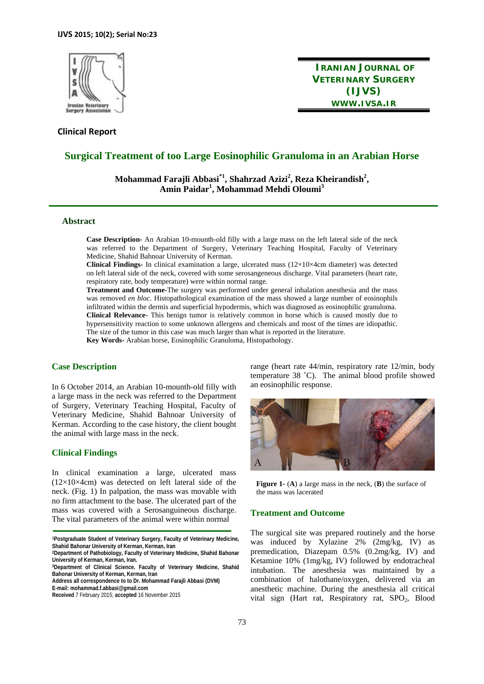

**Clinical Report** 

**IRANIAN JOURNAL OF VETERINARY SURGERY (IJVS) WWW.IVSA.IR**

# **Surgical Treatment of too Large Eosinophilic Granuloma in an Arabian Horse**

 $M$ ohammad Farajli Abbasi $^*$ <sup>1</sup>, Shahrzad Azizi $^2$ , Reza Kheirandish $^2$ , **Amin Paidar1 , Mohammad Mehdi Oloumi<sup>3</sup>**

## **Abstract**

**Case Description-** An Arabian 10-mounth-old filly with a large mass on the left lateral side of the neck was referred to the Department of Surgery, Veterinary Teaching Hospital, Faculty of Veterinary Medicine, Shahid Bahnoar University of Kerman.

**Clinical Findings-** In clinical examination a large, ulcerated mass (12×10×4cm diameter) was detected on left lateral side of the neck, covered with some serosangeneous discharge. Vital parameters (heart rate, respiratory rate, body temperature) were within normal range.

**Treatment and Outcome-**The surgery was performed under general inhalation anesthesia and the mass was removed *en bloc*. Histopathological examination of the mass showed a large number of eosinophils infiltrated within the dermis and superficial hypodermis, which was diagnosed as eosinophilic granuloma. **Clinical Relevance-** This benign tumor is relatively common in horse which is caused mostly due to hypersensitivity reaction to some unknown allergens and chemicals and most of the times are idiopathic. The size of the tumor in this case was much larger than what is reported in the literature.

**Key Words-** Arabian horse, Eosinophilic Granuloma, Histopathology.

#### **Case Description**

In 6 October 2014, an Arabian 10-mounth-old filly with a large mass in the neck was referred to the Department of Surgery, Veterinary Teaching Hospital, Faculty of Veterinary Medicine, Shahid Bahnoar University of Kerman. According to the case history, the client bought the animal with large mass in the neck.

## **Clinical Findings**

In clinical examination a large, ulcerated mass  $(12\times10\times4$ cm) was detected on left lateral side of the neck. (Fig. 1) In palpation, the mass was movable with no firm attachment to the base. The ulcerated part of the mass was covered with a Serosanguineous discharge. The vital parameters of the animal were within normal

range (heart rate 44/min, respiratory rate 12/min, body temperature 38 ˚C). The animal blood profile showed an eosinophilic response.



**Figure 1-** (**A**) a large mass in the neck, (**B**) the surface of the mass was lacerated

#### **Treatment and Outcome**

The surgical site was prepared routinely and the horse was induced by Xylazine 2% (2mg/kg, IV) as premedication, Diazepam 0.5% (0.2mg/kg, IV) and Ketamine 10% (1mg/kg, IV) followed by endotracheal intubation. The anesthesia was maintained by a combination of halothane/oxygen, delivered via an anesthetic machine. During the anesthesia all critical vital sign (Hart rat, Respiratory rat, SPO<sub>2</sub>, Blood

**<sup>1</sup>Postgraduate Student of Veterinary Surgery, Faculty of Veterinary Medicine, Shahid Bahonar University of Kerman, Kerman, Iran 2Department of Pathobiology, Faculty of Veterinary Medicine, Shahid Bahonar** 

**University of Kerman, Kerman, Iran.** 

**<sup>3</sup>Department of Clinical Science. Faculty of Veterinary Medicine, Shahid Bahonar University of Kerman, Kerman, Iran** 

**Address all correspondence to to Dr. Mohammad Farajli Abbasi (DVM) E-mail: mohammad.f.abbasi@gmail.com** 

**Received** 7 February 2015; **accepted** 16 November 2015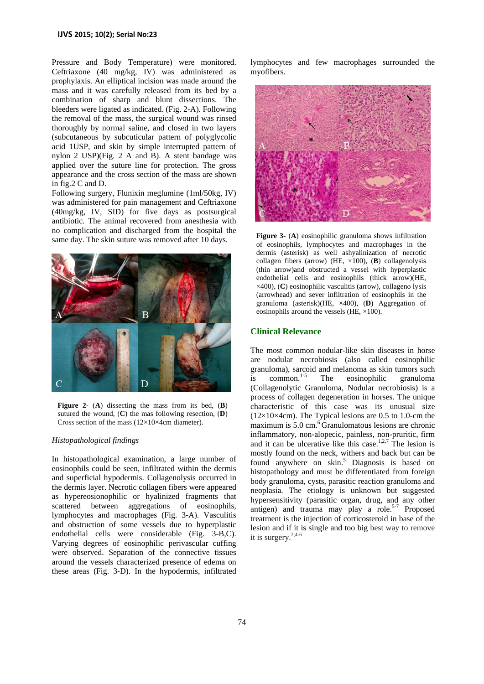Pressure and Body Temperature) were monitored. Ceftriaxone (40 mg/kg, IV) was administered as prophylaxis. An elliptical incision was made around the mass and it was carefully released from its bed by a combination of sharp and blunt dissections. The bleeders were ligated as indicated. (Fig. 2-A). Following the removal of the mass, the surgical wound was rinsed thoroughly by normal saline, and closed in two layers (subcutaneous by subcuticular pattern of polyglycolic acid 1USP, and skin by simple interrupted pattern of nylon 2 USP)(Fig. 2 A and B). A stent bandage was applied over the suture line for protection. The gross appearance and the cross section of the mass are shown in fig.2 C and D.

Following surgery, Flunixin meglumine (1ml/50kg, IV) was administered for pain management and Ceftriaxone (40mg/kg, IV, SID) for five days as postsurgical antibiotic. The animal recovered from anesthesia with no complication and discharged from the hospital the same day. The skin suture was removed after 10 days.



**Figure 2-** (**A**) dissecting the mass from its bed, (**B**) sutured the wound, (**C**) the mas following resection, (**D**) Cross section of the mass (12×10×4cm diameter).

#### *Histopathological findings*

In histopathological examination, a large number of eosinophils could be seen, infiltrated within the dermis and superficial hypodermis. Collagenolysis occurred in the dermis layer. Necrotic collagen fibers were appeared as hypereosionophilic or hyalinized fragments that scattered between aggregations of eosinophils, lymphocytes and macrophages (Fig. 3-A). Vasculitis and obstruction of some vessels due to hyperplastic endothelial cells were considerable (Fig. 3-B,C). Varying degrees of eosinophilic perivascular cuffing were observed. Separation of the connective tissues around the vessels characterized presence of edema on these areas (Fig. 3-D). In the hypodermis, infiltrated

lymphocytes and few macrophages surrounded the myofibers.



**Figure 3-** (**A**) eosinophilic granuloma shows infiltration of eosinophils, lymphocytes and macrophages in the dermis (asterisk) as well ashyalinization of necrotic collagen fibers (arrow) (HE, ×100), (**B**) collagenolysis (thin arrow)and obstructed a vessel with hyperplastic endothelial cells and eosinophils (thick arrow)(HE, ×400), (**C**) eosinophilic vasculitis (arrow), collageno lysis (arrowhead) and sever infiltration of eosinophils in the granuloma (asterisk)(HE, ×400), (**D**) Aggregation of eosinophils around the vessels (HE, ×100).

#### **Clinical Relevance**

The most common nodular-like skin diseases in horse are nodular necrobiosis (also called eosinophilic granuloma), sarcoid and melanoma as skin tumors such is common.<sup>1-5</sup> The eosinophilic granuloma (Collagenolytic Granuloma, Nodular necrobiosis) is a process of collagen degeneration in horses. The unique characteristic of this case was its unusual size  $(12\times10\times4$ cm). The Typical lesions are 0.5 to 1.0-cm the maximum is  $5.0 \text{ cm}$ .<sup>6</sup> Granulomatous lesions are chronic inflammatory, non-alopecic, painless, non-pruritic, firm and it can be ulcerative like this case.<sup>1,2,7</sup> The lesion is mostly found on the neck, withers and back but can be found anywhere on skin.<sup>5</sup> Diagnosis is based on histopathology and must be differentiated from foreign body granuloma, cysts, parasitic reaction granuloma and neoplasia. The etiology is unknown but suggested hypersensitivity (parasitic organ, drug, and any other antigen) and trauma may play a role.<sup>5-7</sup> Proposed treatment is the injection of corticosteroid in base of the lesion and if it is single and too big best way to remove it is surgery.2,4-6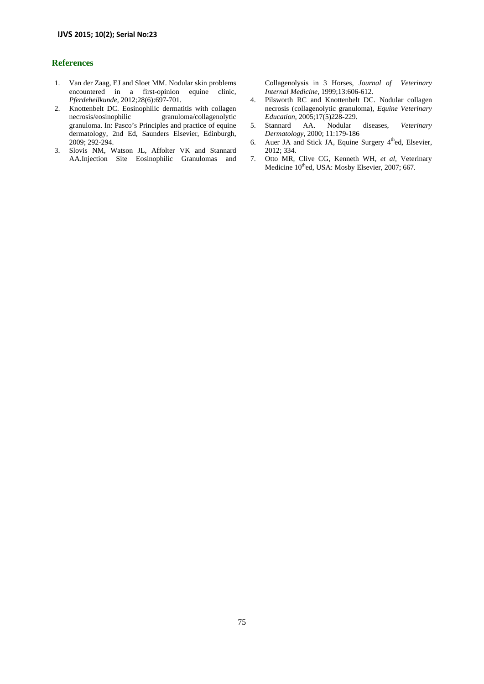## **References**

- 1. Van der Zaag, EJ and Sloet MM. Nodular skin problems encountered in a first-opinion equine clinic, *Pferdeheilkunde,* 2012;28(6):697-701.
- 2. Knottenbelt DC. Eosinophilic dermatitis with collagen necrosis/eosinophilic granuloma/collagenolytic granuloma. In: Pasco's Principles and practice of equine dermatology, 2nd Ed, Saunders Elsevier, Edinburgh, 2009; 292-294.
- 3. Slovis NM, Watson JL, Affolter VK and Stannard AA.Injection Site Eosinophilic Granulomas and

Collagenolysis in 3 Horses, *Journal of Veterinary Internal Medicine*, 1999;13:606-612.

- 4. Pilsworth RC and Knottenbelt DC. Nodular collagen necrosis (collagenolytic granuloma), *Equine Veterinary Education*, 2005;17(5)228-229.
- 5. Stannard AA. Nodular diseases, *Veterinary Dermatology*, 2000; 11:179-186
- 6. Auer JA and Stick JA, Equine Surgery  $4<sup>th</sup>$ ed, Elsevier, 2012; 334.
- 7. Otto MR, Clive CG, Kenneth WH, *et al*, Veterinary Medicine 10<sup>th</sup>ed, USA: Mosby Elsevier, 2007; 667.